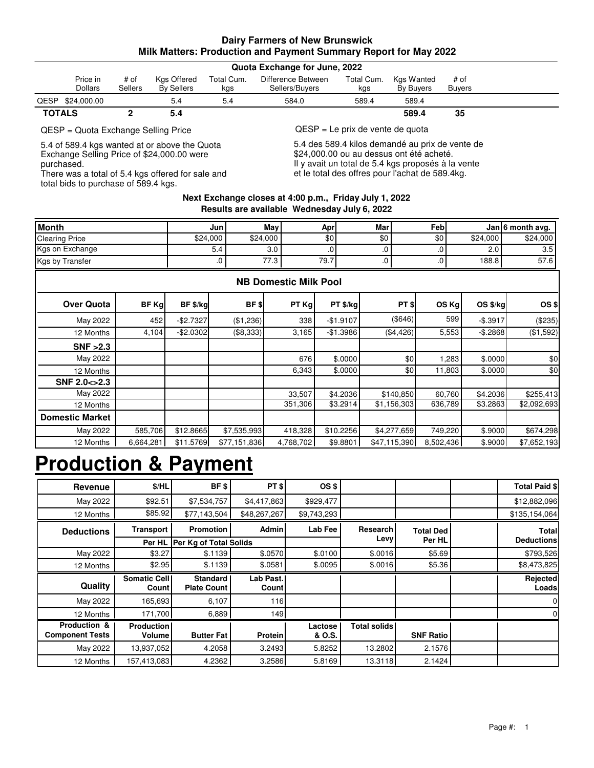### **Dairy Farmers of New Brunswick Milk Matters: Production and Payment Summary Report for May 2022**

| Quota Exchange for June, 2022 |                |                |                   |            |                    |            |                  |               |  |
|-------------------------------|----------------|----------------|-------------------|------------|--------------------|------------|------------------|---------------|--|
|                               | Price in       | # of           | Kgs Offered       | Total Cum. | Difference Between | Total Cum. | Kgs Wanted       | # of          |  |
|                               | <b>Dollars</b> | <b>Sellers</b> | <b>By Sellers</b> | kgs        | Sellers/Buyers     | kgs        | <b>By Buvers</b> | <b>Buvers</b> |  |
| <b>QESP</b>                   | \$24.000.00    |                | 5.4               | 5.4        | 584.0              | 589.4      | 589.4            |               |  |
| <b>TOTALS</b>                 |                |                | 5.4               |            |                    |            | 589.4            | 35            |  |
|                               |                |                |                   |            |                    |            |                  |               |  |

5.4 of 589.4 kgs wanted at or above the Quota Exchange Selling Price of \$24,000.00 were purchased.

There was a total of 5.4 kgs offered for sale and total bids to purchase of 589.4 kgs.

QESP = Quota Exchange Selling Price QESP = Le prix de vente de quota

5.4 des 589.4 kilos demandé au prix de vente de \$24,000.00 ou au dessus ont été acheté. Il y avait un total de 5.4 kgs proposés à la vente et le total des offres pour l'achat de 589.4kg.

#### **Next Exchange closes at 4:00 p.m., Friday July 1, 2022 Results are available Wednesday July 6, 2022**

| <b>Month</b>           |       | Jun          |           | May                          | Apr        | <b>Mar</b> |             | Feb             |           | Jan 6 month avg. |
|------------------------|-------|--------------|-----------|------------------------------|------------|------------|-------------|-----------------|-----------|------------------|
| <b>Clearing Price</b>  |       | \$24,000     | \$24,000  |                              | \$0        | \$0        |             | \$0             | \$24,000  | \$24,000         |
| Kgs on Exchange        |       | 5.4          |           | 3.0                          |            | 0.         |             | .0              | 2.0       | 3.5              |
| Kgs by Transfer        |       |              | .0        | 77.3                         | 79.7       | $.0 \,$    |             | .0 <sub>1</sub> | 188.8     | 57.6             |
|                        |       |              |           | <b>NB Domestic Milk Pool</b> |            |            |             |                 |           |                  |
| <b>Over Quota</b>      | BF Kg | BF \$/kg     | BF \$     | PT Kg                        | PT \$/kg   |            | PT \$       | OS Kg           | OS \$/kg  | OS\$             |
| May 2022               | 452   | $-$2.7327$   | (\$1,236) | 338                          | $-$1.9107$ |            | (\$646)     | 599             | $-$.3917$ | (\$235)          |
| 12 Months              | 4,104 | $-$ \$2.0302 | (\$8,333) | 3,165                        | $-$1.3986$ |            | (\$4,426)   | 5,553           | $-$.2868$ | (\$1,592)        |
| SNF > 2.3              |       |              |           |                              |            |            |             |                 |           |                  |
| May 2022               |       |              |           | 676                          | \$.0000    |            | \$0         | 1,283           | \$.0000   | \$0              |
| 12 Months              |       |              |           | 6,343                        | \$.0000    |            | \$0         | 11,803          | \$.0000   | \$0              |
| SNF 2.0 <> 2.3         |       |              |           |                              |            |            |             |                 |           |                  |
| May 2022               |       |              |           | 33,507                       | \$4.2036   |            | \$140,850   | 60,760          | \$4.2036  | \$255,413        |
| 12 Months              |       |              |           | 351,306                      | \$3.2914   |            | \$1,156,303 | 636,789         | \$3.2863  | \$2,092,693      |
| <b>Domestic Market</b> |       |              |           |                              |            |            |             |                 |           |                  |

4,768,702 418,328

6,664,281| \$11.5769| \$77,151,836| 4,768,702| \$9.8801| \$47,115,390| 8,502,436| \$.9000

### **Production & Payment**

12 Months May 2022

585,706 \$7,535,993

| Revenue                                           | \$/HL                        | BF \$                                 | $PT$ \$                   | OS \$             |                     |                            | <b>Total Paid \$</b>       |
|---------------------------------------------------|------------------------------|---------------------------------------|---------------------------|-------------------|---------------------|----------------------------|----------------------------|
| May 2022                                          | \$92.51                      | \$7,534,757                           | \$4,417,863               | \$929,477         |                     |                            | \$12,882,096               |
| 12 Months                                         | \$85.92                      | \$77,143,504                          | \$48,267,267              | \$9,743,293       |                     |                            | \$135,154,064              |
| <b>Deductions</b>                                 | <b>Transport</b>             | <b>Promotion</b>                      | <b>Admin</b>              | Lab Fee           | Research            | <b>Total Ded</b><br>Per HL | Total<br><b>Deductions</b> |
|                                                   | Per HL                       | <b>Per Kg of Total Solids</b>         |                           |                   | Levy                |                            |                            |
| May 2022                                          | \$3.27                       | \$.1139                               | \$.0570                   | \$.0100           | \$.0016             | \$5.69                     | \$793,526                  |
| 12 Months                                         | \$2.95                       | \$.1139                               | \$.0581                   | \$.0095           | \$.0016             | \$5.36                     | \$8,473,825                |
|                                                   |                              |                                       |                           |                   |                     |                            |                            |
| <b>Quality</b>                                    | <b>Somatic Cell</b><br>Count | <b>Standard</b><br><b>Plate Count</b> | Lab Past.<br><b>Count</b> |                   |                     |                            | Rejected<br>Loads          |
| May 2022                                          | 165,693                      | 6,107                                 | <b>116</b>                |                   |                     |                            | $\mathbf{0}$               |
| 12 Months                                         | 171,700                      | 6,889                                 | 149                       |                   |                     |                            | $\mathbf{0}$               |
| <b>Production &amp;</b><br><b>Component Tests</b> | <b>Production</b><br>Volume  | <b>Butter Fat</b>                     | <b>Protein</b>            | Lactose<br>& O.S. | <b>Total solids</b> | <b>SNF Ratio</b>           |                            |
| May 2022                                          | 13,937,052                   | 4.2058                                | 3.2493                    | 5.8252            | 13.2802             | 2.1576                     |                            |

\$7,652,193 \$674,298

8,502,436 749,220

\$47,115,390

\$12.8665| \$7,535,993| 418,328| \$10.2256| \$4,277,659| 749,220| \$.9000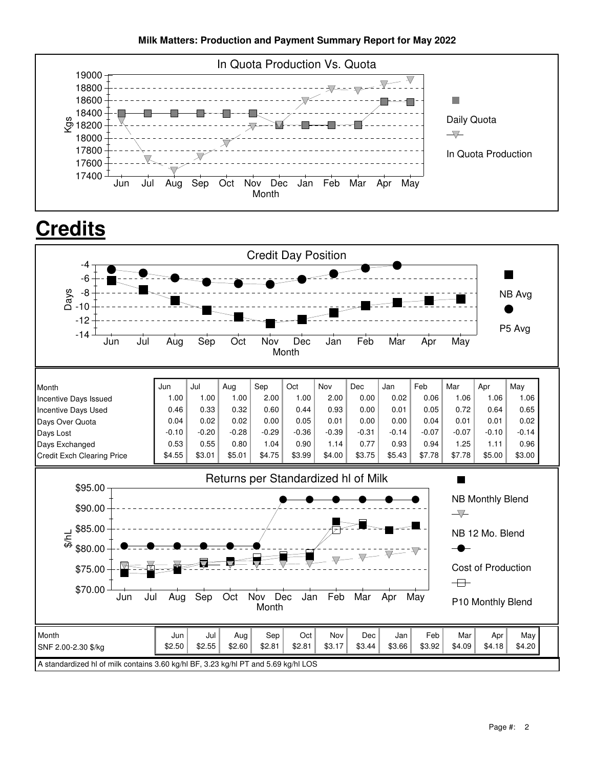

# **Credits**